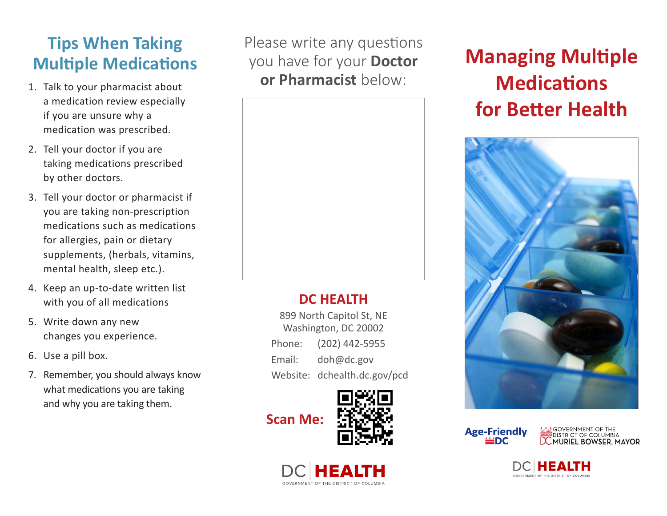#### **Tips When Taking Multiple Medications**

- a medication review especially if you are unsure why a medication was prescribed.
- 2. Tell your doctor if you are taking medications prescribed by other doctors.
- 3. Tell your doctor or pharmacist if you are taking non-prescription medications such as medications for allergies, pain or dietary supplements, (herbals, vitamins, mental health, sleep etc.).
- 4. Keep an up-to-date written list with you of all medications
- 5. Write down any new changes you experience.
- 6. Use a pill box.
- 7. Remember, you should always know what medications you are taking and why you are taking them.

Please write any questions you have for your **Doctor**  1. Talk to your pharmacist about **or Pharmacist** below:



#### **DC HEALTH**

899 North Capitol St, NE Washington, DC 20002 Phone: (202) 442-5955 Email: doh@dc.gov Website: dchealth.dc.gov/pcd







## **Managing Multiple Medications for Better Health**



**Age-Friendly** ≟DC

**<u>Netat</u> GOVERNMENT OF THE**<br>DISTRICT OF COLUMBIA<br>**DC MURIEL BOWSER, MAYOR**